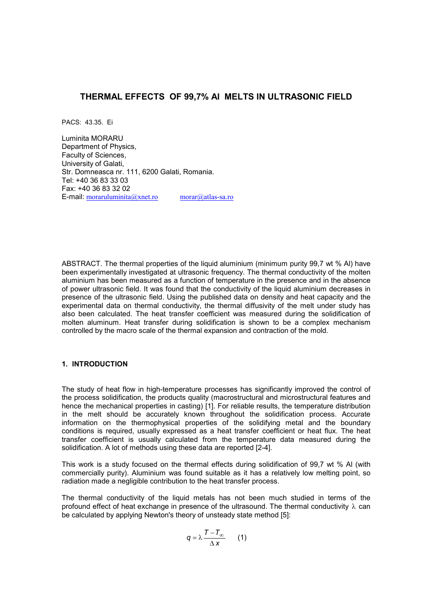# **THERMAL EFFECTS OF 99,7% Al MELTS IN ULTRASONIC FIELD**

PACS: 43.35. Ei

Luminita MORARU Department of Physics, Faculty of Sciences, University of Galati, Str. Domneasca nr. 111, 6200 Galati, Romania. Tel: +40 36 83 33 03 Fax: +40 36 83 32 02 E-mail:  $\frac{\text{moraruluminta}(a)}{\text{morar}(a)}$  morar $\frac{(a)}{a}$ tlas-sa.ro

ABSTRACT. The thermal properties of the liquid aluminium (minimum purity 99,7 wt % Al) have been experimentally investigated at ultrasonic frequency. The thermal conductivity of the molten aluminium has been measured as a function of temperature in the presence and in the absence of power ultrasonic field. It was found that the conductivity of the liquid aluminium decreases in presence of the ultrasonic field. Using the published data on density and heat capacity and the experimental data on thermal conductivity, the thermal diffusivity of the melt under study has also been calculated. The heat transfer coefficient was measured during the solidification of molten aluminum. Heat transfer during solidification is shown to be a complex mechanism controlled by the macro scale of the thermal expansion and contraction of the mold.

### **1. INTRODUCTION**

The study of heat flow in high-temperature processes has significantly improved the control of the process solidification, the products quality (macrostructural and microstructural features and hence the mechanical properties in casting) [1]. For reliable results, the temperature distribution in the melt should be accurately known throughout the solidification process. Accurate information on the thermophysical properties of the solidifying metal and the boundary conditions is required, usually expressed as a heat transfer coefficient or heat flux. The heat transfer coefficient is usually calculated from the temperature data measured during the solidification. A lot of methods using these data are reported [2-4].

This work is a study focused on the thermal effects during solidification of 99,7 wt % Al (with commercially purity). Aluminium was found suitable as it has a relatively low melting point, so radiation made a negligible contribution to the heat transfer process.

The thermal conductivity of the liquid metals has not been much studied in terms of the profound effect of heat exchange in presence of the ultrasound. The thermal conductivity  $\lambda$  can be calculated by applying Newton's theory of unsteady state method [5]:

$$
q = \lambda \frac{T - T_{\infty}}{\Delta x} \qquad (1)
$$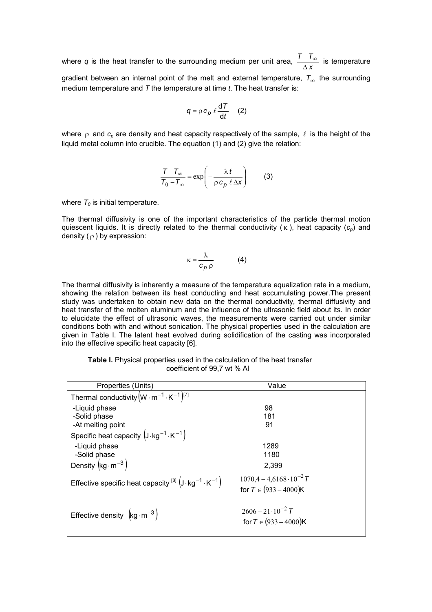where q is the heat transfer to the surrounding medium per unit area,  $\frac{1}{\Delta x}$ *T T*  $\overline{\Delta}$  $\frac{-\mathcal{T}_{\infty}}{2}$  is temperature gradient between an internal point of the melt and external temperature,  $\tau_{\infty}$  the surrounding medium temperature and *T* the temperature at time *t*. The heat transfer is:

$$
q = \rho c_p \ell \frac{dT}{dt} \quad (2)
$$

where  $\rho$  and  $c_{\rho}$  are density and heat capacity respectively of the sample,  $\ell$  is the height of the liquid metal column into crucible. The equation (1) and (2) give the relation:

$$
\frac{\mathcal{T} - \mathcal{T}_{\infty}}{\mathcal{T}_{0} - \mathcal{T}_{\infty}} = \exp\left(-\frac{\lambda t}{\rho c_{p} \ell \Delta x}\right)
$$
 (3)

where  $T_0$  is initial temperature.

The thermal diffusivity is one of the important characteristics of the particle thermal motion quiescent liquids. It is directly related to the thermal conductivity  $(\kappa)$ , heat capacity  $(c_p)$  and density  $(\rho)$  by expression:

$$
\kappa = \frac{\lambda}{c_p \rho} \tag{4}
$$

The thermal diffusivity is inherently a measure of the temperature equalization rate in a medium, showing the relation between its heat conducting and heat accumulating power.The present study was undertaken to obtain new data on the thermal conductivity, thermal diffusivity and heat transfer of the molten aluminum and the influence of the ultrasonic field about its. In order to elucidate the effect of ultrasonic waves, the measurements were carried out under similar conditions both with and without sonication. The physical properties used in the calculation are given in Table I. The latent heat evolved during solidification of the casting was incorporated into the effective specific heat capacity [6].

| Table I. Physical properties used in the calculation of the heat transfer |
|---------------------------------------------------------------------------|
| coefficient of 99,7 wt % Al                                               |

| Properties (Units)                                                         | Value                             |  |  |  |  |  |  |
|----------------------------------------------------------------------------|-----------------------------------|--|--|--|--|--|--|
| Thermal conductivity $(W \cdot m^{-1} \cdot K^{-1})^{[7]}$                 |                                   |  |  |  |  |  |  |
| -Liquid phase                                                              | 98                                |  |  |  |  |  |  |
| -Solid phase                                                               | 181                               |  |  |  |  |  |  |
| -At melting point                                                          | 91                                |  |  |  |  |  |  |
| Specific heat capacity $(J \cdot kg^{-1} \cdot K^{-1})$                    |                                   |  |  |  |  |  |  |
| -Liquid phase                                                              | 1289                              |  |  |  |  |  |  |
| -Solid phase                                                               | 1180                              |  |  |  |  |  |  |
| Density $\left(\text{kg}\cdot\text{m}^{-3}\right)$                         | 2,399                             |  |  |  |  |  |  |
| Effective specific heat capacity $^{[8]}$ $(J \cdot kg^{-1} \cdot K^{-1})$ | $1070.4 - 4.6168 \cdot 10^{-2} T$ |  |  |  |  |  |  |
|                                                                            | for $T \in (933 - 4000)K$         |  |  |  |  |  |  |
|                                                                            |                                   |  |  |  |  |  |  |
| Effective density $\left(\text{kg}\cdot\text{m}^{-3}\right)$               | $2606 - 21 \cdot 10^{-2}$ T       |  |  |  |  |  |  |
|                                                                            | for $T \in (933 - 4000)K$         |  |  |  |  |  |  |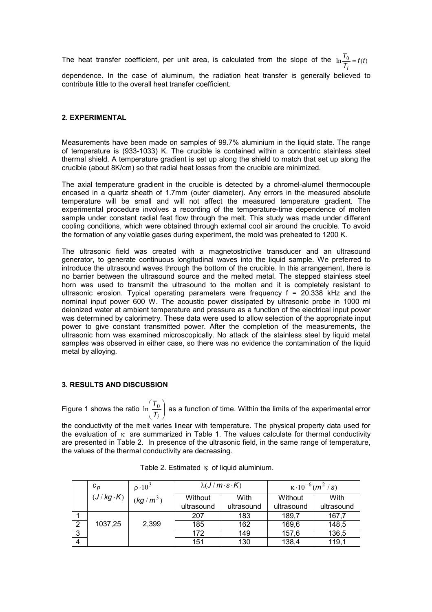The heat transfer coefficient, per unit area, is calculated from the slope of the  $\ln \frac{t_0}{T_i} = f(t)$ *T i*  $\ln \frac{I_0}{I}$  =

dependence. In the case of aluminum, the radiation heat transfer is generally believed to contribute little to the overall heat transfer coefficient.

## **2. EXPERIMENTAL**

Measurements have been made on samples of 99.7% aluminium in the liquid state. The range of temperature is (933-1033) K. The crucible is contained within a concentric stainless steel thermal shield. A temperature gradient is set up along the shield to match that set up along the crucible (about 8K/cm) so that radial heat losses from the crucible are minimized.

The axial temperature gradient in the crucible is detected by a chromel-alumel thermocouple encased in a quartz sheath of 1.7mm (outer diameter). Any errors in the measured absolute temperature will be small and will not affect the measured temperature gradient. The experimental procedure involves a recording of the temperature-time dependence of molten sample under constant radial feat flow through the melt. This study was made under different cooling conditions, which were obtained through external cool air around the crucible. To avoid the formation of any volatile gases during experiment, the mold was preheated to 1200 K.

The ultrasonic field was created with a magnetostrictive transducer and an ultrasound generator, to generate continuous longitudinal waves into the liquid sample. We preferred to introduce the ultrasound waves through the bottom of the crucible. In this arrangement, there is no barrier between the ultrasound source and the melted metal. The stepped stainless steel horn was used to transmit the ultrasound to the molten and it is completely resistant to ultrasonic erosion. Typical operating parameters were frequency f = 20.338 kHz and the nominal input power 600 W. The acoustic power dissipated by ultrasonic probe in 1000 ml deionized water at ambient temperature and pressure as a function of the electrical input power was determined by calorimetry. These data were used to allow selection of the appropriate input power to give constant transmitted power. After the completion of the measurements, the ultrasonic horn was examined microscopically. No attack of the stainless steel by liquid metal samples was observed in either case, so there was no evidence the contamination of the liquid metal by alloying.

#### **3. RESULTS AND DISCUSSION**

Figure 1 shows the ratio  $\ln \left| \frac{r_0}{r_0} \right|$ -)  $\mathsf{I}$ l ſ *Ti*  $\ln(\frac{\mathcal{T}_0}{\Box})$  as a function of time. Within the limits of the experimental error

the conductivity of the melt varies linear with temperature. The physical property data used for the evaluation of  $\kappa$  are summarized in Table 1. The values calculate for thermal conductivity are presented in Table 2. In presence of the ultrasonic field, in the same range of temperature, the values of the thermal conductivity are decreasing.

|   | $\scriptstyle{c_{p}}$ | $\overline{\rho} \cdot 10^3$ | $\lambda(J/m \cdot s \cdot K)$ |            | $\kappa \cdot 10^{-6}$ (m <sup>2</sup> /s) |            |
|---|-----------------------|------------------------------|--------------------------------|------------|--------------------------------------------|------------|
|   | $(J/kg \cdot K)$      | $(kg/m^3)$                   | Without                        | With       | Without                                    | With       |
|   |                       |                              | ultrasound                     | ultrasound | ultrasound                                 | ultrasound |
|   |                       |                              | 207                            | 183        | 189,7                                      | 167,7      |
| 2 | 1037,25               | 2,399                        | 185                            | 162        | 169,6                                      | 148,5      |
| 3 |                       |                              | 172                            | 149        | 157,6                                      | 136,5      |
| 4 |                       |                              | 151                            | 130        | 138,4                                      | 119,1      |

Table 2. Estimated  $\kappa$  of liquid aluminium.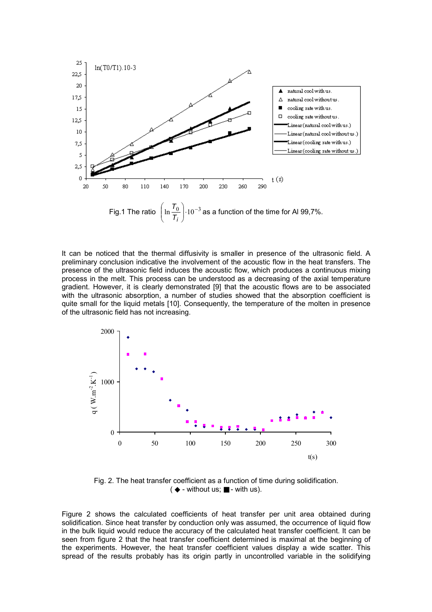

It can be noticed that the thermal diffusivity is smaller in presence of the ultrasonic field. A preliminary conclusion indicative the involvement of the acoustic flow in the heat transfers. The presence of the ultrasonic field induces the acoustic flow, which produces a continuous mixing process in the melt. This process can be understood as a decreasing of the axial temperature gradient. However, it is clearly demonstrated [9] that the acoustic flows are to be associated with the ultrasonic absorption, a number of studies showed that the absorption coefficient is quite small for the liquid metals [10]. Consequently, the temperature of the molten in presence of the ultrasonic field has not increasing.



Fig. 2. The heat transfer coefficient as a function of time during solidification. ( ◆ - without us; ■ - with us).

Figure 2 shows the calculated coefficients of heat transfer per unit area obtained during solidification. Since heat transfer by conduction only was assumed, the occurrence of liquid flow in the bulk liquid would reduce the accuracy of the calculated heat transfer coefficient. It can be seen from figure 2 that the heat transfer coefficient determined is maximal at the beginning of the experiments. However, the heat transfer coefficient values display a wide scatter. This spread of the results probably has its origin partly in uncontrolled variable in the solidifying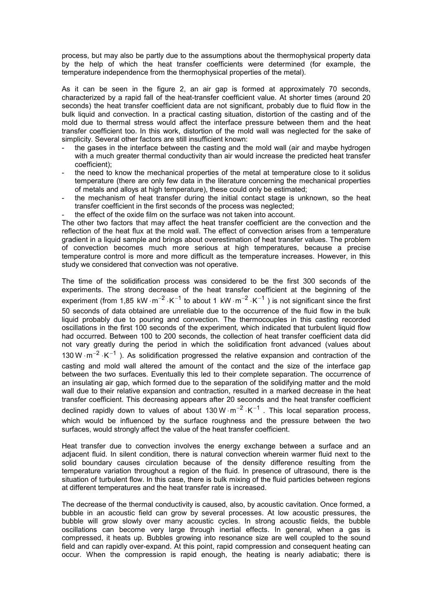process, but may also be partly due to the assumptions about the thermophysical property data by the help of which the heat transfer coefficients were determined (for example, the temperature independence from the thermophysical properties of the metal).

As it can be seen in the figure 2, an air gap is formed at approximately 70 seconds, characterized by a rapid fall of the heat-transfer coefficient value. At shorter times (around 20 seconds) the heat transfer coefficient data are not significant, probably due to fluid flow in the bulk liquid and convection. In a practical casting situation, distortion of the casting and of the mold due to thermal stress would affect the interface pressure between them and the heat transfer coefficient too. In this work, distortion of the mold wall was neglected for the sake of simplicity. Several other factors are still insufficient known:

- the gases in the interface between the casting and the mold wall (air and maybe hydrogen with a much greater thermal conductivity than air would increase the predicted heat transfer coefficient);
- the need to know the mechanical properties of the metal at temperature close to it solidus temperature (there are only few data in the literature concerning the mechanical properties of metals and alloys at high temperature), these could only be estimated;
- the mechanism of heat transfer during the initial contact stage is unknown, so the heat transfer coefficient in the first seconds of the process was neglected;
- the effect of the oxide film on the surface was not taken into account.

The other two factors that may affect the heat transfer coefficient are the convection and the reflection of the heat flux at the mold wall. The effect of convection arises from a temperature gradient in a liquid sample and brings about overestimation of heat transfer values. The problem of convection becomes much more serious at high temperatures, because a precise temperature control is more and more difficult as the temperature increases. However, in this study we considered that convection was not operative.

The time of the solidification process was considered to be the first 300 seconds of the experiments. The strong decrease of the heat transfer coefficient at the beginning of the experiment (from 1,85 kW  $\cdot$  m<sup>-2</sup>  $\cdot$  K<sup>-1</sup> to about 1 kW  $\cdot$  m<sup>-2</sup>  $\cdot$  K<sup>-1</sup> ) is not significant since the first 50 seconds of data obtained are unreliable due to the occurrence of the fluid flow in the bulk liquid probably due to pouring and convection. The thermocouples in this casting recorded oscillations in the first 100 seconds of the experiment, which indicated that turbulent liquid flow had occurred. Between 100 to 200 seconds, the collection of heat transfer coefficient data did not vary greatly during the period in which the solidification front advanced (values about 130 W  $\cdot$  m<sup>-2</sup>  $\cdot$  K<sup>-1</sup> ). As solidification progressed the relative expansion and contraction of the casting and mold wall altered the amount of the contact and the size of the interface gap between the two surfaces. Eventually this led to their complete separation. The occurrence of an insulating air gap, which formed due to the separation of the solidifying matter and the mold wall due to their relative expansion and contraction, resulted in a marked decrease in the heat transfer coefficient. This decreasing appears after 20 seconds and the heat transfer coefficient declined rapidly down to values of about 130 W  $\cdot$  m<sup>-2</sup>  $\cdot$  K<sup>-1</sup> . This local separation process, which would be influenced by the surface roughness and the pressure between the two surfaces, would strongly affect the value of the heat transfer coefficient.

Heat transfer due to convection involves the energy exchange between a surface and an adjacent fluid. In silent condition, there is natural convection wherein warmer fluid next to the solid boundary causes circulation because of the density difference resulting from the temperature variation throughout a region of the fluid. In presence of ultrasound, there is the situation of turbulent flow. In this case, there is bulk mixing of the fluid particles between regions at different temperatures and the heat transfer rate is increased.

The decrease of the thermal conductivity is caused, also, by acoustic cavitation. Once formed, a bubble in an acoustic field can grow by several processes. At low acoustic pressures, the bubble will grow slowly over many acoustic cycles. In strong acoustic fields, the bubble oscillations can become very large through inertial effects. In general, when a gas is compressed, it heats up. Bubbles growing into resonance size are well coupled to the sound field and can rapidly over-expand. At this point, rapid compression and consequent heating can occur. When the compression is rapid enough, the heating is nearly adiabatic; there is